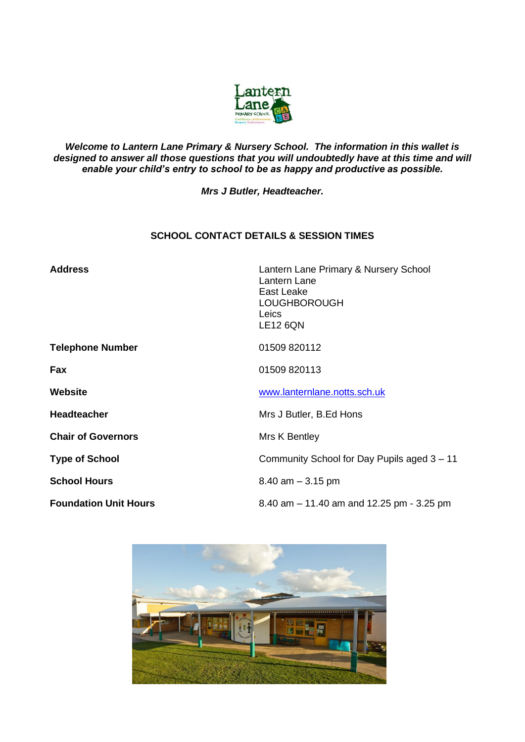

## *Welcome to Lantern Lane Primary & Nursery School. The information in this wallet is designed to answer all those questions that you will undoubtedly have at this time and will enable your child's entry to school to be as happy and productive as possible.*

*Mrs J Butler, Headteacher.*

# **SCHOOL CONTACT DETAILS & SESSION TIMES**

| <b>Address</b>               | Lantern Lane Primary & Nursery School<br>Lantern Lane<br>East Leake<br><b>LOUGHBOROUGH</b><br><b>Leics</b><br><b>LE12 6QN</b> |
|------------------------------|-------------------------------------------------------------------------------------------------------------------------------|
| <b>Telephone Number</b>      | 01509 820112                                                                                                                  |
| <b>Fax</b>                   | 01509 820113                                                                                                                  |
| Website                      | www.lanternlane.notts.sch.uk                                                                                                  |
| <b>Headteacher</b>           | Mrs J Butler, B.Ed Hons                                                                                                       |
| <b>Chair of Governors</b>    | Mrs K Bentley                                                                                                                 |
| <b>Type of School</b>        | Community School for Day Pupils aged 3 - 11                                                                                   |
| <b>School Hours</b>          | $8.40$ am $-3.15$ pm                                                                                                          |
| <b>Foundation Unit Hours</b> | 8.40 am $-$ 11.40 am and 12.25 pm - 3.25 pm                                                                                   |

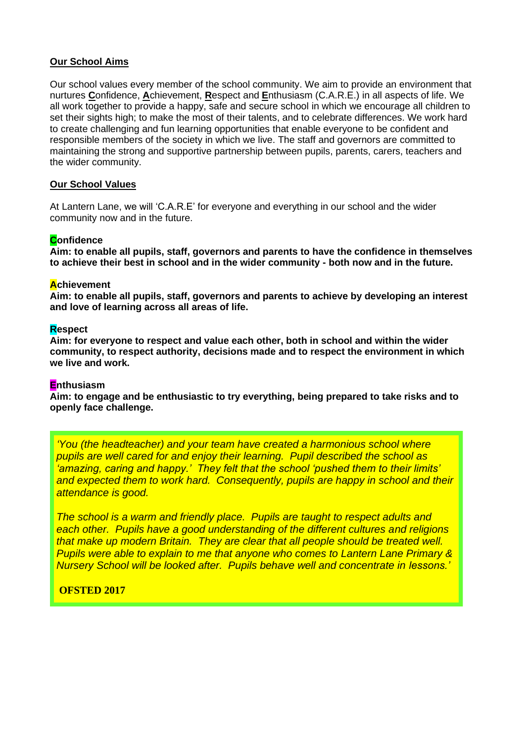## **Our School Aims**

Our school values every member of the school community. We aim to provide an environment that nurtures **C**onfidence, **A**chievement, **R**espect and **E**nthusiasm (C.A.R.E.) in all aspects of life. We all work together to provide a happy, safe and secure school in which we encourage all children to set their sights high; to make the most of their talents, and to celebrate differences. We work hard to create challenging and fun learning opportunities that enable everyone to be confident and responsible members of the society in which we live. The staff and governors are committed to maintaining the strong and supportive partnership between pupils, parents, carers, teachers and the wider community.

## **Our School Values**

At Lantern Lane, we will 'C.A.R.E' for everyone and everything in our school and the wider community now and in the future.

## **Confidence**

**Aim: to enable all pupils, staff, governors and parents to have the confidence in themselves to achieve their best in school and in the wider community - both now and in the future.**

#### **Achievement**

**Aim: to enable all pupils, staff, governors and parents to achieve by developing an interest and love of learning across all areas of life.**

#### **Respect**

**Aim: for everyone to respect and value each other, both in school and within the wider community, to respect authority, decisions made and to respect the environment in which we live and work.**

#### **Enthusiasm**

**Aim: to engage and be enthusiastic to try everything, being prepared to take risks and to openly face challenge.**

*'You (the headteacher) and your team have created a harmonious school where pupils are well cared for and enjoy their learning. Pupil described the school as 'amazing, caring and happy.' They felt that the school 'pushed them to their limits'*  and expected them to work hard. Consequently, pupils are happy in school and their *attendance is good.*

*The school is a warm and friendly place. Pupils are taught to respect adults and each other. Pupils have a good understanding of the different cultures and religions that make up modern Britain. They are clear that all people should be treated well. Pupils were able to explain to me that anyone who comes to Lantern Lane Primary & Nursery School will be looked after. Pupils behave well and concentrate in lessons.'*

## **OFSTED 2017**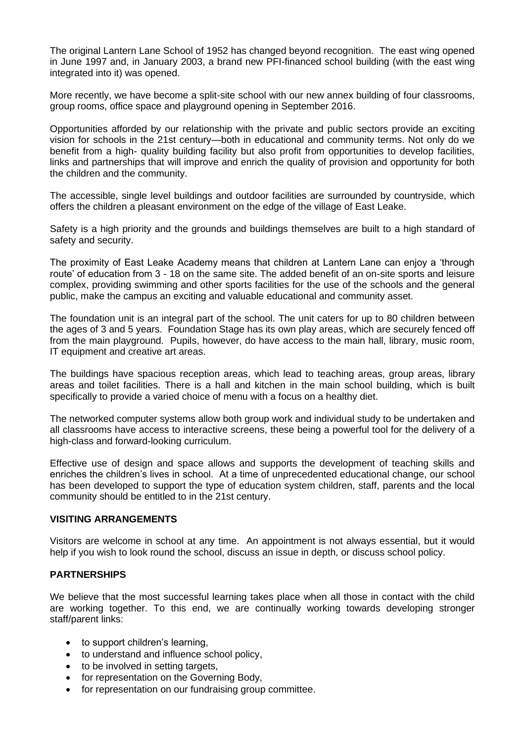The original Lantern Lane School of 1952 has changed beyond recognition. The east wing opened in June 1997 and, in January 2003, a brand new PFI-financed school building (with the east wing integrated into it) was opened.

More recently, we have become a split-site school with our new annex building of four classrooms, group rooms, office space and playground opening in September 2016.

Opportunities afforded by our relationship with the private and public sectors provide an exciting vision for schools in the 21st century—both in educational and community terms. Not only do we benefit from a high- quality building facility but also profit from opportunities to develop facilities, links and partnerships that will improve and enrich the quality of provision and opportunity for both the children and the community.

The accessible, single level buildings and outdoor facilities are surrounded by countryside, which offers the children a pleasant environment on the edge of the village of East Leake.

Safety is a high priority and the grounds and buildings themselves are built to a high standard of safety and security.

The proximity of East Leake Academy means that children at Lantern Lane can enjoy a 'through route' of education from 3 - 18 on the same site. The added benefit of an on-site sports and leisure complex, providing swimming and other sports facilities for the use of the schools and the general public, make the campus an exciting and valuable educational and community asset.

The foundation unit is an integral part of the school. The unit caters for up to 80 children between the ages of 3 and 5 years. Foundation Stage has its own play areas, which are securely fenced off from the main playground. Pupils, however, do have access to the main hall, library, music room, IT equipment and creative art areas.

The buildings have spacious reception areas, which lead to teaching areas, group areas, library areas and toilet facilities. There is a hall and kitchen in the main school building, which is built specifically to provide a varied choice of menu with a focus on a healthy diet.

The networked computer systems allow both group work and individual study to be undertaken and all classrooms have access to interactive screens, these being a powerful tool for the delivery of a high-class and forward-looking curriculum.

Effective use of design and space allows and supports the development of teaching skills and enriches the children's lives in school. At a time of unprecedented educational change, our school has been developed to support the type of education system children, staff, parents and the local community should be entitled to in the 21st century.

## **VISITING ARRANGEMENTS**

Visitors are welcome in school at any time. An appointment is not always essential, but it would help if you wish to look round the school, discuss an issue in depth, or discuss school policy.

## **PARTNERSHIPS**

We believe that the most successful learning takes place when all those in contact with the child are working together. To this end, we are continually working towards developing stronger staff/parent links:

- to support children's learning,
- to understand and influence school policy,
- to be involved in setting targets,
- for representation on the Governing Body,
- for representation on our fundraising group committee.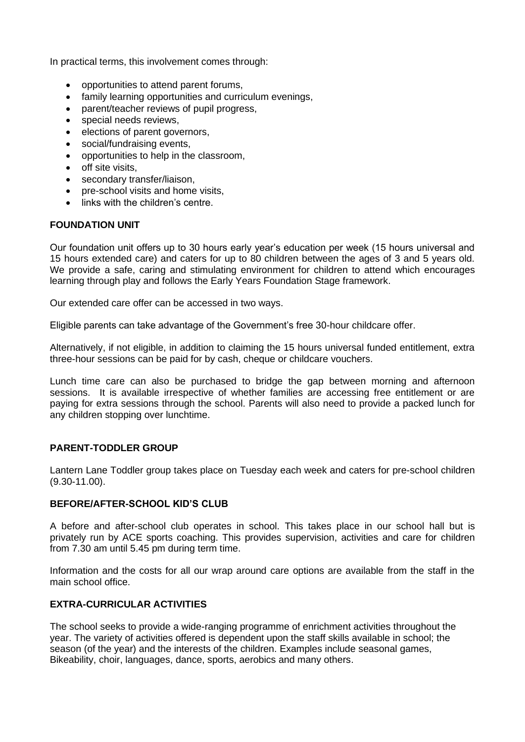In practical terms, this involvement comes through:

- opportunities to attend parent forums,
- family learning opportunities and curriculum evenings,
- parent/teacher reviews of pupil progress,
- special needs reviews,
- elections of parent governors,
- social/fundraising events,
- opportunities to help in the classroom,
- off site visits,
- secondary transfer/liaison.
- pre-school visits and home visits,
- links with the children's centre.

### **FOUNDATION UNIT**

Our foundation unit offers up to 30 hours early year's education per week (15 hours universal and 15 hours extended care) and caters for up to 80 children between the ages of 3 and 5 years old. We provide a safe, caring and stimulating environment for children to attend which encourages learning through play and follows the Early Years Foundation Stage framework.

Our extended care offer can be accessed in two ways.

Eligible parents can take advantage of the Government's free 30-hour childcare offer.

Alternatively, if not eligible, in addition to claiming the 15 hours universal funded entitlement, extra three-hour sessions can be paid for by cash, cheque or childcare vouchers.

Lunch time care can also be purchased to bridge the gap between morning and afternoon sessions. It is available irrespective of whether families are accessing free entitlement or are paying for extra sessions through the school. Parents will also need to provide a packed lunch for any children stopping over lunchtime.

## **PARENT-TODDLER GROUP**

Lantern Lane Toddler group takes place on Tuesday each week and caters for pre-school children (9.30-11.00).

#### **BEFORE/AFTER-SCHOOL KID'S CLUB**

A before and after-school club operates in school. This takes place in our school hall but is privately run by ACE sports coaching. This provides supervision, activities and care for children from 7.30 am until 5.45 pm during term time.

Information and the costs for all our wrap around care options are available from the staff in the main school office.

## **EXTRA-CURRICULAR ACTIVITIES**

The school seeks to provide a wide-ranging programme of enrichment activities throughout the year. The variety of activities offered is dependent upon the staff skills available in school; the season (of the year) and the interests of the children. Examples include seasonal games, Bikeability, choir, languages, dance, sports, aerobics and many others.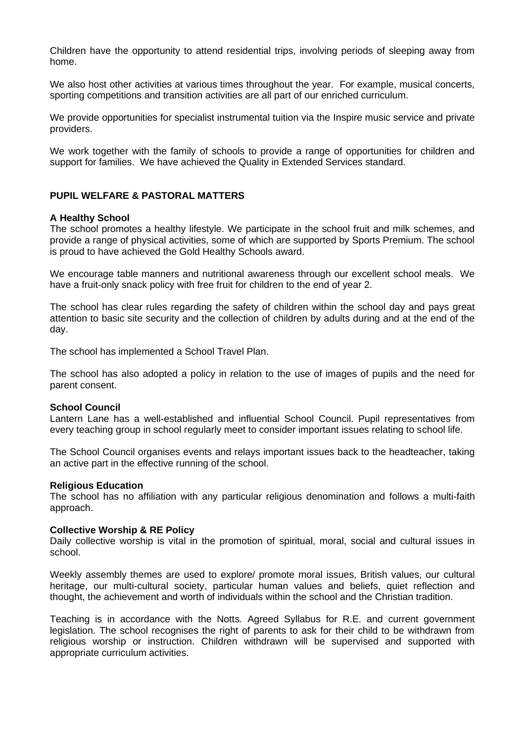Children have the opportunity to attend residential trips, involving periods of sleeping away from home.

We also host other activities at various times throughout the year. For example, musical concerts, sporting competitions and transition activities are all part of our enriched curriculum.

We provide opportunities for specialist instrumental tuition via the Inspire music service and private providers.

We work together with the family of schools to provide a range of opportunities for children and support for families. We have achieved the Quality in Extended Services standard.

# **PUPIL WELFARE & PASTORAL MATTERS**

### **A Healthy School**

The school promotes a healthy lifestyle. We participate in the school fruit and milk schemes, and provide a range of physical activities, some of which are supported by Sports Premium. The school is proud to have achieved the Gold Healthy Schools award.

We encourage table manners and nutritional awareness through our excellent school meals. We have a fruit-only snack policy with free fruit for children to the end of year 2.

The school has clear rules regarding the safety of children within the school day and pays great attention to basic site security and the collection of children by adults during and at the end of the day.

The school has implemented a School Travel Plan.

The school has also adopted a policy in relation to the use of images of pupils and the need for parent consent.

#### **School Council**

Lantern Lane has a well-established and influential School Council. Pupil representatives from every teaching group in school regularly meet to consider important issues relating to school life.

The School Council organises events and relays important issues back to the headteacher, taking an active part in the effective running of the school.

#### **Religious Education**

The school has no affiliation with any particular religious denomination and follows a multi-faith approach.

#### **Collective Worship & RE Policy**

Daily collective worship is vital in the promotion of spiritual, moral, social and cultural issues in school.

Weekly assembly themes are used to explore/ promote moral issues, British values, our cultural heritage, our multi-cultural society, particular human values and beliefs, quiet reflection and thought, the achievement and worth of individuals within the school and the Christian tradition.

Teaching is in accordance with the Notts. Agreed Syllabus for R.E. and current government legislation. The school recognises the right of parents to ask for their child to be withdrawn from religious worship or instruction. Children withdrawn will be supervised and supported with appropriate curriculum activities.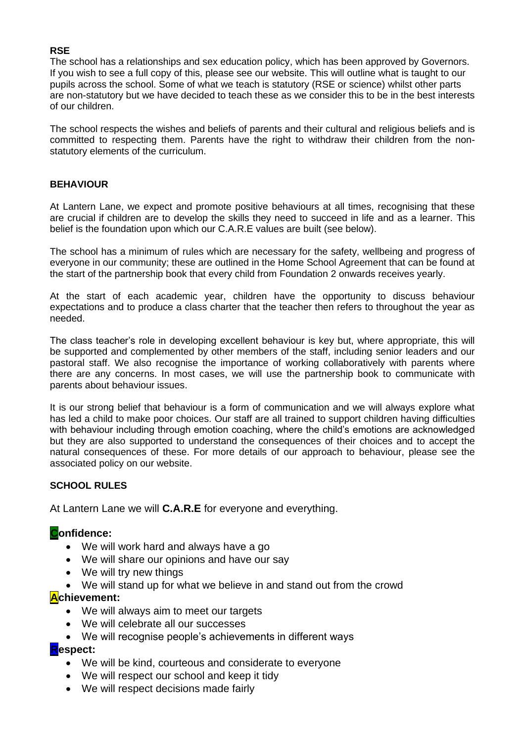## **RSE**

The school has a relationships and sex education policy, which has been approved by Governors. If you wish to see a full copy of this, please see our website. This will outline what is taught to our pupils across the school. Some of what we teach is statutory (RSE or science) whilst other parts are non-statutory but we have decided to teach these as we consider this to be in the best interests of our children.

The school respects the wishes and beliefs of parents and their cultural and religious beliefs and is committed to respecting them. Parents have the right to withdraw their children from the nonstatutory elements of the curriculum.

## **BEHAVIOUR**

At Lantern Lane, we expect and promote positive behaviours at all times, recognising that these are crucial if children are to develop the skills they need to succeed in life and as a learner. This belief is the foundation upon which our C.A.R.E values are built (see below).

The school has a minimum of rules which are necessary for the safety, wellbeing and progress of everyone in our community; these are outlined in the Home School Agreement that can be found at the start of the partnership book that every child from Foundation 2 onwards receives yearly.

At the start of each academic year, children have the opportunity to discuss behaviour expectations and to produce a class charter that the teacher then refers to throughout the year as needed.

The class teacher's role in developing excellent behaviour is key but, where appropriate, this will be supported and complemented by other members of the staff, including senior leaders and our pastoral staff. We also recognise the importance of working collaboratively with parents where there are any concerns. In most cases, we will use the partnership book to communicate with parents about behaviour issues.

It is our strong belief that behaviour is a form of communication and we will always explore what has led a child to make poor choices. Our staff are all trained to support children having difficulties with behaviour including through emotion coaching, where the child's emotions are acknowledged but they are also supported to understand the consequences of their choices and to accept the natural consequences of these. For more details of our approach to behaviour, please see the associated policy on our website.

## **SCHOOL RULES**

At Lantern Lane we will **C.A.R.E** for everyone and everything.

# **Confidence:**

- We will work hard and always have a go
- We will share our opinions and have our say
- We will try new things
- We will stand up for what we believe in and stand out from the crowd

# **Achievement:**

- We will always aim to meet our targets
- We will celebrate all our successes
- We will recognise people's achievements in different ways

# **Respect:**

- We will be kind, courteous and considerate to everyone
- We will respect our school and keep it tidy
- We will respect decisions made fairly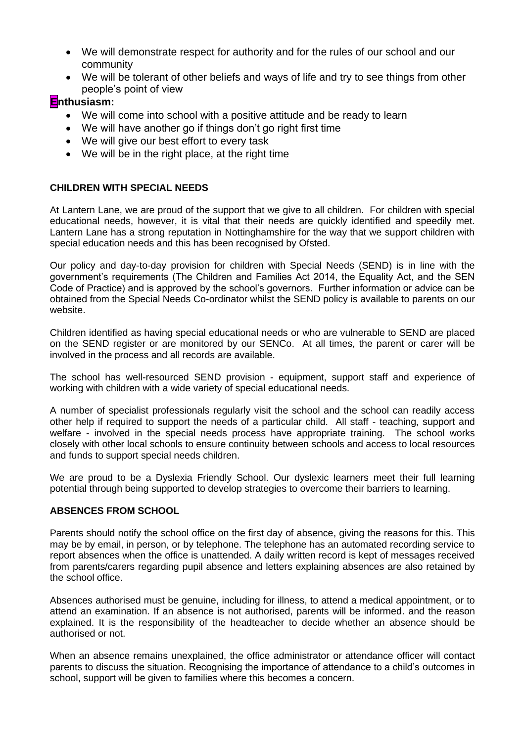- We will demonstrate respect for authority and for the rules of our school and our community
- We will be tolerant of other beliefs and ways of life and try to see things from other people's point of view

# **Enthusiasm:**

- We will come into school with a positive attitude and be ready to learn
- We will have another go if things don't go right first time
- We will give our best effort to every task
- We will be in the right place, at the right time

# **CHILDREN WITH SPECIAL NEEDS**

At Lantern Lane, we are proud of the support that we give to all children. For children with special educational needs, however, it is vital that their needs are quickly identified and speedily met. Lantern Lane has a strong reputation in Nottinghamshire for the way that we support children with special education needs and this has been recognised by Ofsted.

Our policy and day-to-day provision for children with Special Needs (SEND) is in line with the government's requirements (The Children and Families Act 2014, the Equality Act, and the SEN Code of Practice) and is approved by the school's governors. Further information or advice can be obtained from the Special Needs Co-ordinator whilst the SEND policy is available to parents on our website.

Children identified as having special educational needs or who are vulnerable to SEND are placed on the SEND register or are monitored by our SENCo. At all times, the parent or carer will be involved in the process and all records are available.

The school has well-resourced SEND provision - equipment, support staff and experience of working with children with a wide variety of special educational needs.

A number of specialist professionals regularly visit the school and the school can readily access other help if required to support the needs of a particular child. All staff - teaching, support and welfare - involved in the special needs process have appropriate training. The school works closely with other local schools to ensure continuity between schools and access to local resources and funds to support special needs children.

We are proud to be a Dyslexia Friendly School. Our dyslexic learners meet their full learning potential through being supported to develop strategies to overcome their barriers to learning.

# **ABSENCES FROM SCHOOL**

Parents should notify the school office on the first day of absence, giving the reasons for this. This may be by email, in person, or by telephone. The telephone has an automated recording service to report absences when the office is unattended. A daily written record is kept of messages received from parents/carers regarding pupil absence and letters explaining absences are also retained by the school office.

Absences authorised must be genuine, including for illness, to attend a medical appointment, or to attend an examination. If an absence is not authorised, parents will be informed. and the reason explained. It is the responsibility of the headteacher to decide whether an absence should be authorised or not.

When an absence remains unexplained, the office administrator or attendance officer will contact parents to discuss the situation. Recognising the importance of attendance to a child's outcomes in school, support will be given to families where this becomes a concern.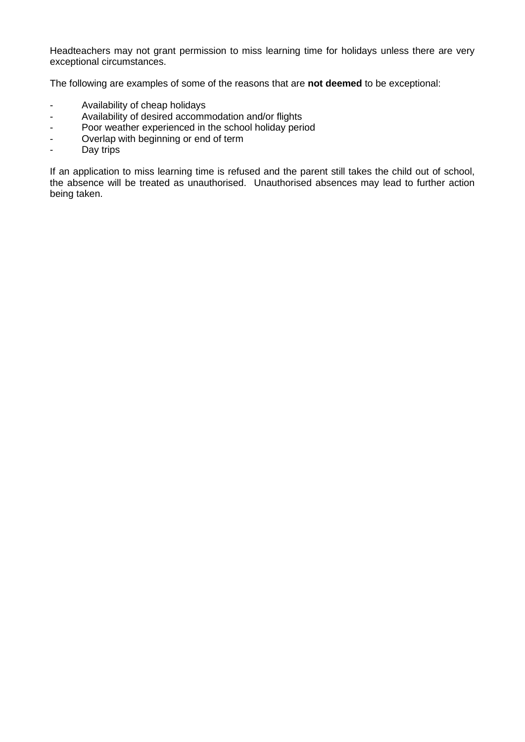Headteachers may not grant permission to miss learning time for holidays unless there are very exceptional circumstances.

The following are examples of some of the reasons that are **not deemed** to be exceptional:

- Availability of cheap holidays
- Availability of desired accommodation and/or flights
- Poor weather experienced in the school holiday period
- Overlap with beginning or end of term
- Day trips

If an application to miss learning time is refused and the parent still takes the child out of school, the absence will be treated as unauthorised. Unauthorised absences may lead to further action being taken.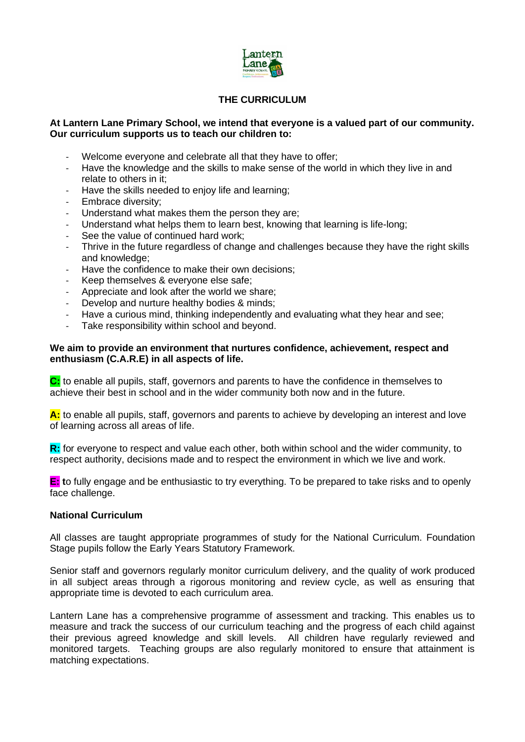

# **THE CURRICULUM**

#### **At Lantern Lane Primary School, we intend that everyone is a valued part of our community. Our curriculum supports us to teach our children to:**

- Welcome everyone and celebrate all that they have to offer;
- Have the knowledge and the skills to make sense of the world in which they live in and relate to others in it;
- Have the skills needed to enjoy life and learning:
- Embrace diversity;
- Understand what makes them the person they are:
- Understand what helps them to learn best, knowing that learning is life-long;
- See the value of continued hard work;
- Thrive in the future regardless of change and challenges because they have the right skills and knowledge;
- Have the confidence to make their own decisions;
- Keep themselves & everyone else safe;
- Appreciate and look after the world we share;
- Develop and nurture healthy bodies & minds;
- Have a curious mind, thinking independently and evaluating what they hear and see;
- Take responsibility within school and beyond.

### **We aim to provide an environment that nurtures confidence, achievement, respect and enthusiasm (C.A.R.E) in all aspects of life.**

**C:** to enable all pupils, staff, governors and parents to have the confidence in themselves to achieve their best in school and in the wider community both now and in the future.

**A:** to enable all pupils, staff, governors and parents to achieve by developing an interest and love of learning across all areas of life.

**R:** for everyone to respect and value each other, both within school and the wider community, to respect authority, decisions made and to respect the environment in which we live and work.

**E: t**o fully engage and be enthusiastic to try everything. To be prepared to take risks and to openly face challenge.

### **National Curriculum**

All classes are taught appropriate programmes of study for the National Curriculum. Foundation Stage pupils follow the Early Years Statutory Framework.

Senior staff and governors regularly monitor curriculum delivery, and the quality of work produced in all subject areas through a rigorous monitoring and review cycle, as well as ensuring that appropriate time is devoted to each curriculum area.

Lantern Lane has a comprehensive programme of assessment and tracking. This enables us to measure and track the success of our curriculum teaching and the progress of each child against their previous agreed knowledge and skill levels. All children have regularly reviewed and monitored targets. Teaching groups are also regularly monitored to ensure that attainment is matching expectations.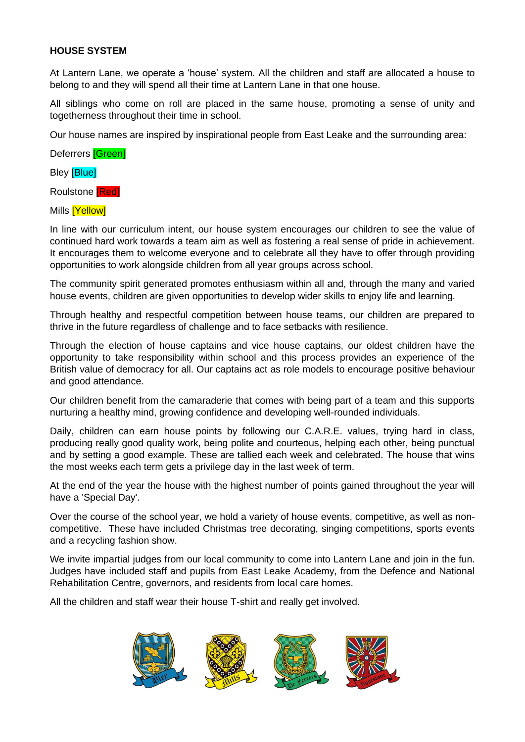## **HOUSE SYSTEM**

At Lantern Lane, we operate a 'house' system. All the children and staff are allocated a house to belong to and they will spend all their time at Lantern Lane in that one house.

All siblings who come on roll are placed in the same house, promoting a sense of unity and togetherness throughout their time in school.

Our house names are inspired by inspirational people from East Leake and the surrounding area:

Deferrers **[Green]** 

**Bley [Blue]** 

Roulstone [Red]

Mills **[Yellow]** 

In line with our curriculum intent, our house system encourages our children to see the value of continued hard work towards a team aim as well as fostering a real sense of pride in achievement. It encourages them to welcome everyone and to celebrate all they have to offer through providing opportunities to work alongside children from all year groups across school.

The community spirit generated promotes enthusiasm within all and, through the many and varied house events, children are given opportunities to develop wider skills to enjoy life and learning.

Through healthy and respectful competition between house teams, our children are prepared to thrive in the future regardless of challenge and to face setbacks with resilience.

Through the election of house captains and vice house captains, our oldest children have the opportunity to take responsibility within school and this process provides an experience of the British value of democracy for all. Our captains act as role models to encourage positive behaviour and good attendance.

Our children benefit from the camaraderie that comes with being part of a team and this supports nurturing a healthy mind, growing confidence and developing well-rounded individuals.

Daily, children can earn house points by following our C.A.R.E. values, trying hard in class, producing really good quality work, being polite and courteous, helping each other, being punctual and by setting a good example. These are tallied each week and celebrated. The house that wins the most weeks each term gets a privilege day in the last week of term.

At the end of the year the house with the highest number of points gained throughout the year will have a 'Special Day'.

Over the course of the school year, we hold a variety of house events, competitive, as well as noncompetitive. These have included Christmas tree decorating, singing competitions, sports events and a recycling fashion show.

We invite impartial judges from our local community to come into Lantern Lane and join in the fun. Judges have included staff and pupils from East Leake Academy, from the Defence and National Rehabilitation Centre, governors, and residents from local care homes.

All the children and staff wear their house T-shirt and really get involved.

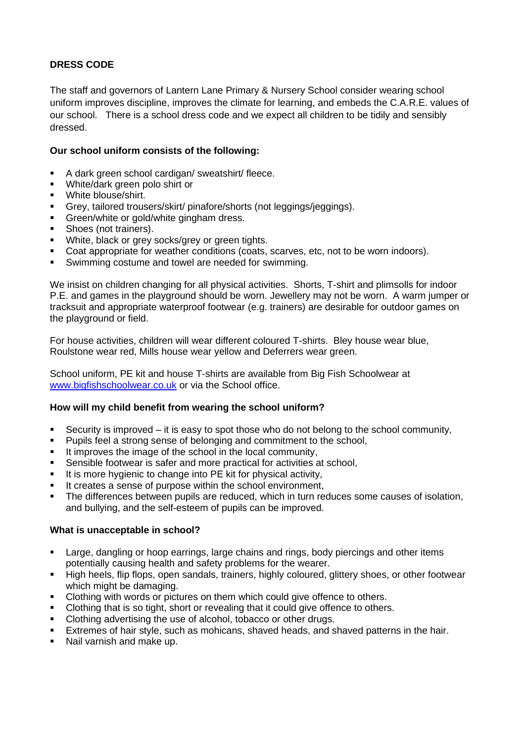# **DRESS CODE**

The staff and governors of Lantern Lane Primary & Nursery School consider wearing school uniform improves discipline, improves the climate for learning, and embeds the C.A.R.E. values of our school. There is a school dress code and we expect all children to be tidily and sensibly dressed.

# **Our school uniform consists of the following:**

- A dark green school cardigan/ sweatshirt/ fleece.
- White/dark green polo shirt or
- White blouse/shirt.
- Grey, tailored trousers/skirt/ pinafore/shorts (not leggings/jeggings).
- **Green/white or gold/white gingham dress.**
- Shoes (not trainers).
- White, black or grey socks/grey or green tights.
- Coat appropriate for weather conditions (coats, scarves, etc, not to be worn indoors).
- Swimming costume and towel are needed for swimming.

We insist on children changing for all physical activities. Shorts, T-shirt and plimsolls for indoor P.E. and games in the playground should be worn. Jewellery may not be worn. A warm jumper or tracksuit and appropriate waterproof footwear (e.g. trainers) are desirable for outdoor games on the playground or field.

For house activities, children will wear different coloured T-shirts. Bley house wear blue, Roulstone wear red, Mills house wear yellow and Deferrers wear green.

School uniform, PE kit and house T-shirts are available from Big Fish Schoolwear at [www.bigfishschoolwear.co.uk](http://www.bigfishschoolwear.co.uk/) or via the School office.

## **How will my child benefit from wearing the school uniform?**

- Security is improved it is easy to spot those who do not belong to the school community,<br>■ Punils feel a strong sense of belonging and commitment to the school
- Pupils feel a strong sense of belonging and commitment to the school,
- It improves the image of the school in the local community,
- Sensible footwear is safer and more practical for activities at school,
- **EXECT** It is more hygienic to change into PE kit for physical activity,
- It creates a sense of purpose within the school environment,
- **•** The differences between pupils are reduced, which in turn reduces some causes of isolation, and bullying, and the self-esteem of pupils can be improved.

## **What is unacceptable in school?**

- **EXECT:** Large, dangling or hoop earrings, large chains and rings, body piercings and other items potentially causing health and safety problems for the wearer.
- High heels, flip flops, open sandals, trainers, highly coloured, glittery shoes, or other footwear which might be damaging.
- Clothing with words or pictures on them which could give offence to others.
- Clothing that is so tight, short or revealing that it could give offence to others.
- Clothing advertising the use of alcohol, tobacco or other drugs.
- **Extremes of hair style, such as mohicans, shaved heads, and shaved patterns in the hair.**
- Nail varnish and make up.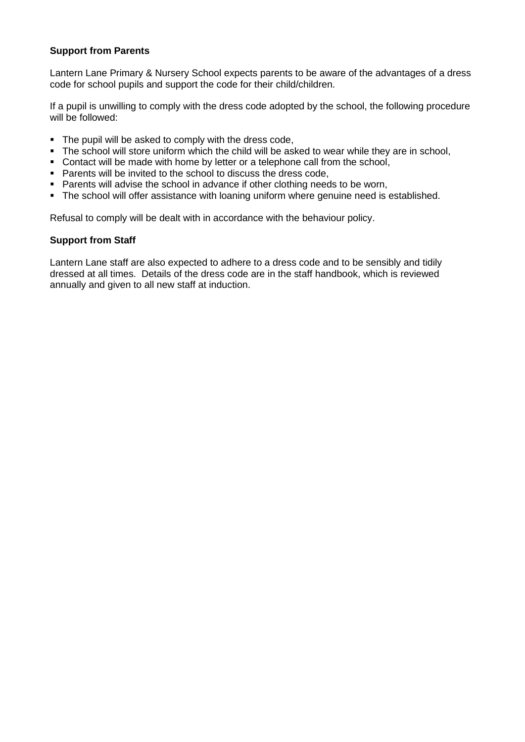## **Support from Parents**

Lantern Lane Primary & Nursery School expects parents to be aware of the advantages of a dress code for school pupils and support the code for their child/children.

If a pupil is unwilling to comply with the dress code adopted by the school, the following procedure will be followed:

- The pupil will be asked to comply with the dress code,
- The school will store uniform which the child will be asked to wear while they are in school,
- Contact will be made with home by letter or a telephone call from the school,
- Parents will be invited to the school to discuss the dress code,
- Parents will advise the school in advance if other clothing needs to be worn,
- The school will offer assistance with loaning uniform where genuine need is established.

Refusal to comply will be dealt with in accordance with the behaviour policy.

### **Support from Staff**

Lantern Lane staff are also expected to adhere to a dress code and to be sensibly and tidily dressed at all times. Details of the dress code are in the staff handbook, which is reviewed annually and given to all new staff at induction.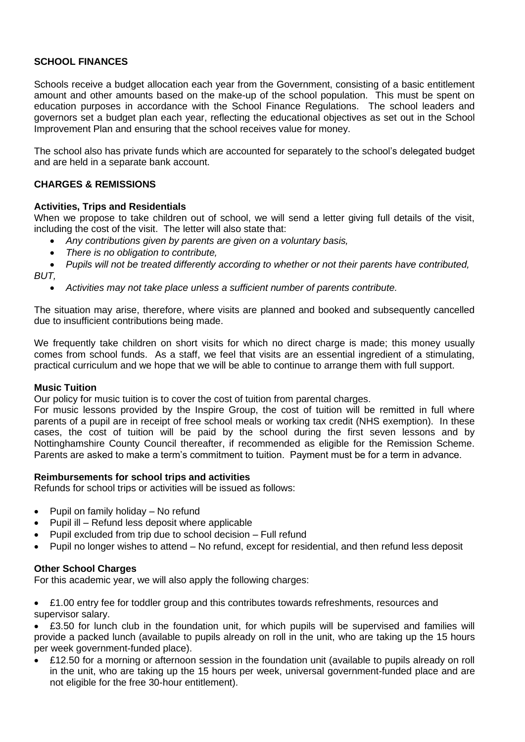# **SCHOOL FINANCES**

Schools receive a budget allocation each year from the Government, consisting of a basic entitlement amount and other amounts based on the make-up of the school population. This must be spent on education purposes in accordance with the School Finance Regulations. The school leaders and governors set a budget plan each year, reflecting the educational objectives as set out in the School Improvement Plan and ensuring that the school receives value for money.

The school also has private funds which are accounted for separately to the school's delegated budget and are held in a separate bank account.

## **CHARGES & REMISSIONS**

### **Activities, Trips and Residentials**

When we propose to take children out of school, we will send a letter giving full details of the visit, including the cost of the visit. The letter will also state that:

- *Any contributions given by parents are given on a voluntary basis,*
- *There is no obligation to contribute,*

• *Pupils will not be treated differently according to whether or not their parents have contributed, BUT,*

• *Activities may not take place unless a sufficient number of parents contribute.*

The situation may arise, therefore, where visits are planned and booked and subsequently cancelled due to insufficient contributions being made.

We frequently take children on short visits for which no direct charge is made; this money usually comes from school funds. As a staff, we feel that visits are an essential ingredient of a stimulating, practical curriculum and we hope that we will be able to continue to arrange them with full support.

#### **Music Tuition**

Our policy for music tuition is to cover the cost of tuition from parental charges.

For music lessons provided by the Inspire Group, the cost of tuition will be remitted in full where parents of a pupil are in receipt of free school meals or working tax credit (NHS exemption). In these cases, the cost of tuition will be paid by the school during the first seven lessons and by Nottinghamshire County Council thereafter, if recommended as eligible for the Remission Scheme. Parents are asked to make a term's commitment to tuition. Payment must be for a term in advance.

#### **Reimbursements for school trips and activities**

Refunds for school trips or activities will be issued as follows:

- Pupil on family holiday No refund
- Pupil ill Refund less deposit where applicable
- Pupil excluded from trip due to school decision Full refund
- Pupil no longer wishes to attend No refund, except for residential, and then refund less deposit

## **Other School Charges**

For this academic year, we will also apply the following charges:

• £1.00 entry fee for toddler group and this contributes towards refreshments, resources and supervisor salary.

• £3.50 for lunch club in the foundation unit, for which pupils will be supervised and families will provide a packed lunch (available to pupils already on roll in the unit, who are taking up the 15 hours per week government-funded place).

• £12.50 for a morning or afternoon session in the foundation unit (available to pupils already on roll in the unit, who are taking up the 15 hours per week, universal government-funded place and are not eligible for the free 30-hour entitlement).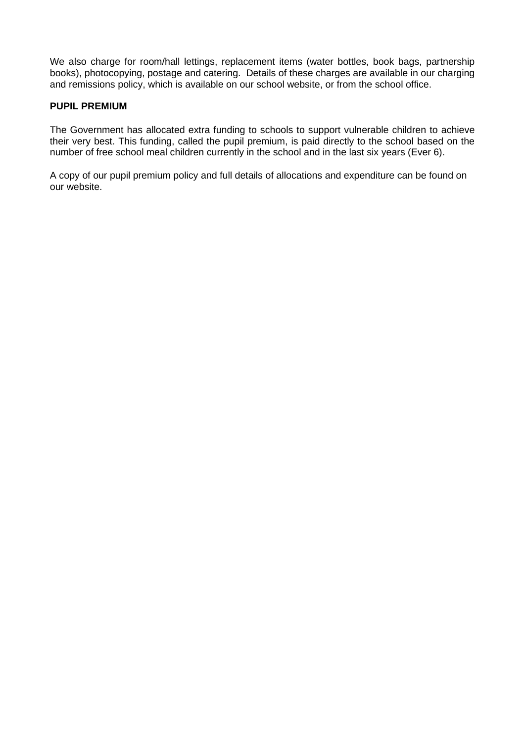We also charge for room/hall lettings, replacement items (water bottles, book bags, partnership books), photocopying, postage and catering. Details of these charges are available in our charging and remissions policy, which is available on our school website, or from the school office.

### **PUPIL PREMIUM**

The Government has allocated extra funding to schools to support vulnerable children to achieve their very best. This funding, called the pupil premium, is paid directly to the school based on the number of free school meal children currently in the school and in the last six years (Ever 6).

A copy of our pupil premium policy and full details of allocations and expenditure can be found on our website.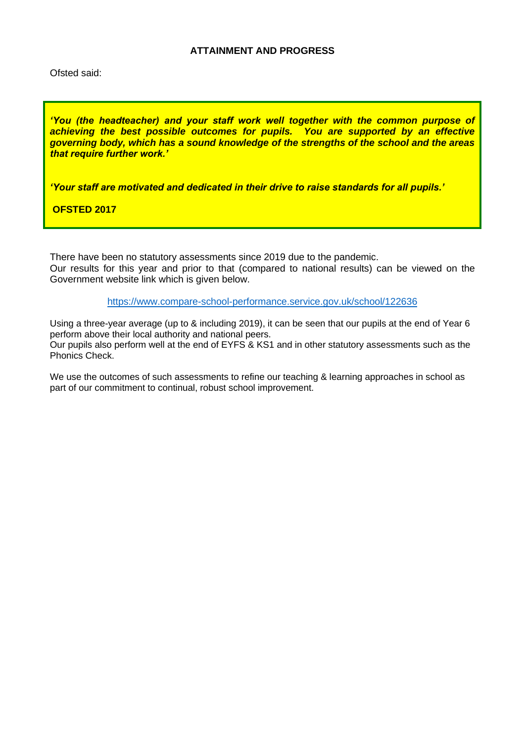## **ATTAINMENT AND PROGRESS**

Ofsted said:

*'You (the headteacher) and your staff work well together with the common purpose of achieving the best possible outcomes for pupils. You are supported by an effective governing body, which has a sound knowledge of the strengths of the school and the areas that require further work.'*

*'Your staff are motivated and dedicated in their drive to raise standards for all pupils.'* 

**OFSTED 2017**

There have been no statutory assessments since 2019 due to the pandemic. Our results for this year and prior to that (compared to national results) can be viewed on the Government website link which is given below.

<https://www.compare-school-performance.service.gov.uk/school/122636>

Using a three-year average (up to & including 2019), it can be seen that our pupils at the end of Year 6 perform above their local authority and national peers. Our pupils also perform well at the end of EYFS & KS1 and in other statutory assessments such as the Phonics Check.

We use the outcomes of such assessments to refine our teaching & learning approaches in school as part of our commitment to continual, robust school improvement.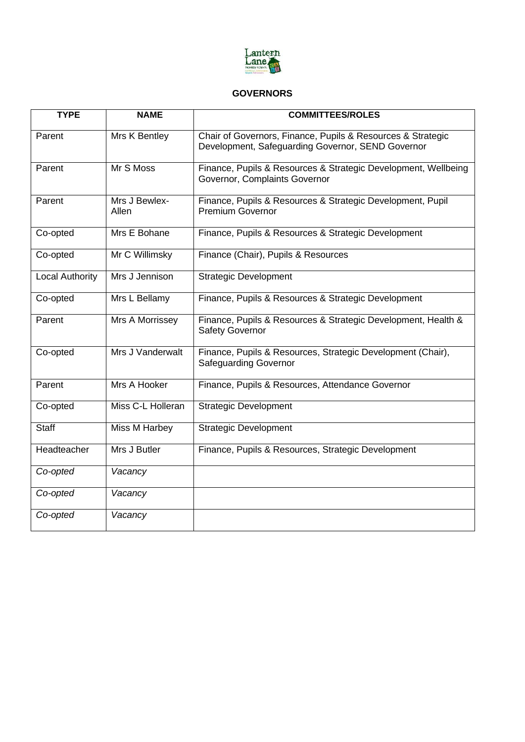

## **GOVERNORS**

| <b>TYPE</b>     | <b>NAME</b>            | <b>COMMITTEES/ROLES</b>                                                                                          |
|-----------------|------------------------|------------------------------------------------------------------------------------------------------------------|
| Parent          | Mrs K Bentley          | Chair of Governors, Finance, Pupils & Resources & Strategic<br>Development, Safeguarding Governor, SEND Governor |
| Parent          | Mr S Moss              | Finance, Pupils & Resources & Strategic Development, Wellbeing<br>Governor, Complaints Governor                  |
| Parent          | Mrs J Bewlex-<br>Allen | Finance, Pupils & Resources & Strategic Development, Pupil<br><b>Premium Governor</b>                            |
| Co-opted        | Mrs E Bohane           | Finance, Pupils & Resources & Strategic Development                                                              |
| Co-opted        | Mr C Willimsky         | Finance (Chair), Pupils & Resources                                                                              |
| Local Authority | Mrs J Jennison         | <b>Strategic Development</b>                                                                                     |
| Co-opted        | Mrs L Bellamy          | Finance, Pupils & Resources & Strategic Development                                                              |
| Parent          | Mrs A Morrissey        | Finance, Pupils & Resources & Strategic Development, Health &<br><b>Safety Governor</b>                          |
| Co-opted        | Mrs J Vanderwalt       | Finance, Pupils & Resources, Strategic Development (Chair),<br><b>Safeguarding Governor</b>                      |
| Parent          | Mrs A Hooker           | Finance, Pupils & Resources, Attendance Governor                                                                 |
| Co-opted        | Miss C-L Holleran      | <b>Strategic Development</b>                                                                                     |
| <b>Staff</b>    | Miss M Harbey          | <b>Strategic Development</b>                                                                                     |
| Headteacher     | Mrs J Butler           | Finance, Pupils & Resources, Strategic Development                                                               |
| Co-opted        | Vacancy                |                                                                                                                  |
| Co-opted        | Vacancy                |                                                                                                                  |
| Co-opted        | Vacancy                |                                                                                                                  |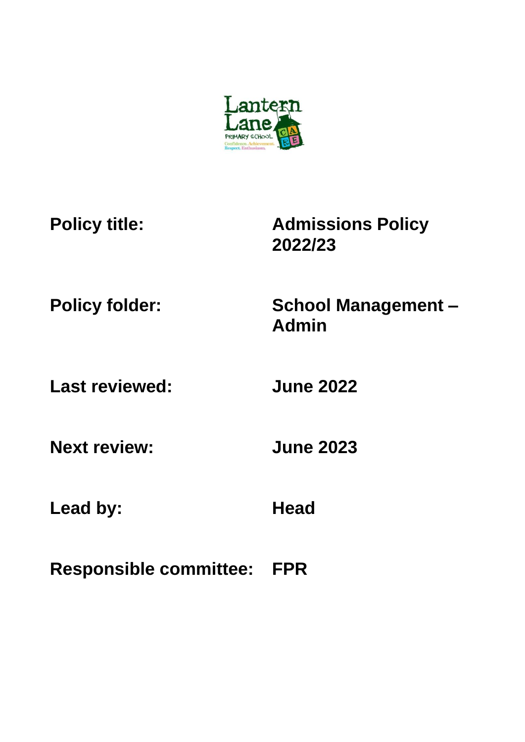

**Policy title: Admissions Policy 2022/23**

**Policy folder: School Management – Admin**

**Last reviewed: June 2022**

**Next review: June 2023**

Lead by: **Head** 

**Responsible committee: FPR**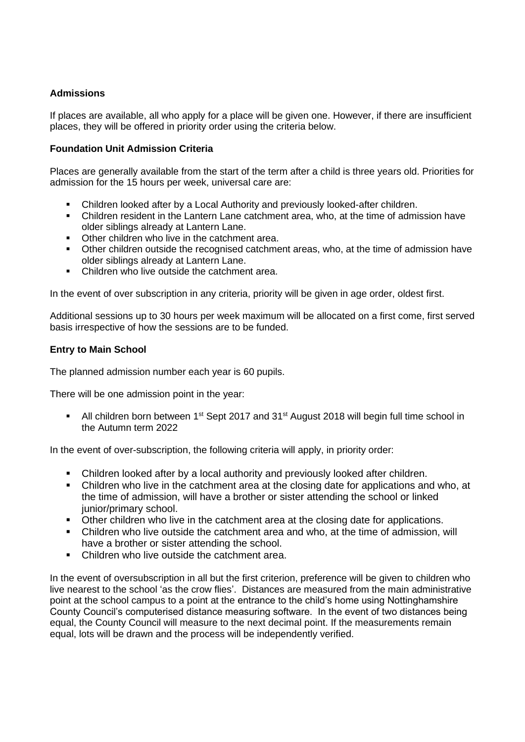# **Admissions**

If places are available, all who apply for a place will be given one. However, if there are insufficient places, they will be offered in priority order using the criteria below.

## **Foundation Unit Admission Criteria**

Places are generally available from the start of the term after a child is three years old. Priorities for admission for the 15 hours per week, universal care are:

- Children looked after by a Local Authority and previously looked-after children.
- Children resident in the Lantern Lane catchment area, who, at the time of admission have older siblings already at Lantern Lane.
- Other children who live in the catchment area.
- Other children outside the recognised catchment areas, who, at the time of admission have older siblings already at Lantern Lane.
- Children who live outside the catchment area.

In the event of over subscription in any criteria, priority will be given in age order, oldest first.

Additional sessions up to 30 hours per week maximum will be allocated on a first come, first served basis irrespective of how the sessions are to be funded.

## **Entry to Main School**

The planned admission number each year is 60 pupils.

There will be one admission point in the year:

■ All children born between 1<sup>st</sup> Sept 2017 and 31<sup>st</sup> August 2018 will begin full time school in the Autumn term 2022

In the event of over-subscription, the following criteria will apply, in priority order:

- Children looked after by a local authority and previously looked after children.
- Children who live in the catchment area at the closing date for applications and who, at the time of admission, will have a brother or sister attending the school or linked junior/primary school.
- Other children who live in the catchment area at the closing date for applications.
- Children who live outside the catchment area and who, at the time of admission, will have a brother or sister attending the school.
- Children who live outside the catchment area.

In the event of oversubscription in all but the first criterion, preference will be given to children who live nearest to the school 'as the crow flies'. Distances are measured from the main administrative point at the school campus to a point at the entrance to the child's home using Nottinghamshire County Council's computerised distance measuring software. In the event of two distances being equal, the County Council will measure to the next decimal point. If the measurements remain equal, lots will be drawn and the process will be independently verified.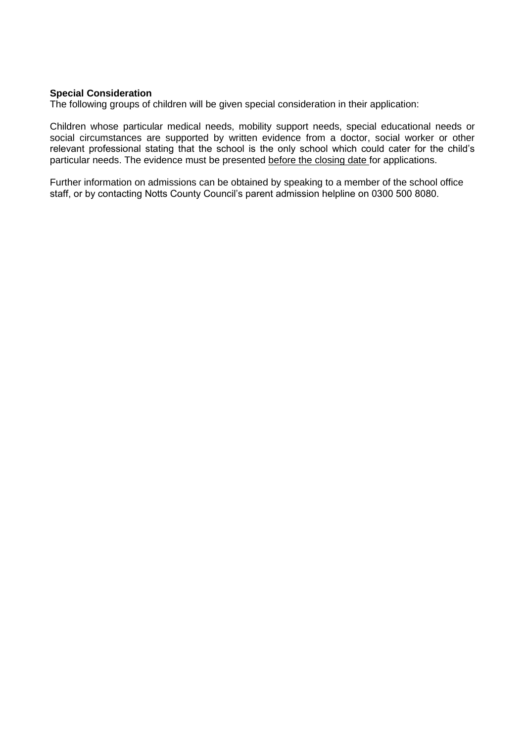### **Special Consideration**

The following groups of children will be given special consideration in their application:

Children whose particular medical needs, mobility support needs, special educational needs or social circumstances are supported by written evidence from a doctor, social worker or other relevant professional stating that the school is the only school which could cater for the child's particular needs. The evidence must be presented before the closing date for applications.

Further information on admissions can be obtained by speaking to a member of the school office staff, or by contacting Notts County Council's parent admission helpline on 0300 500 8080.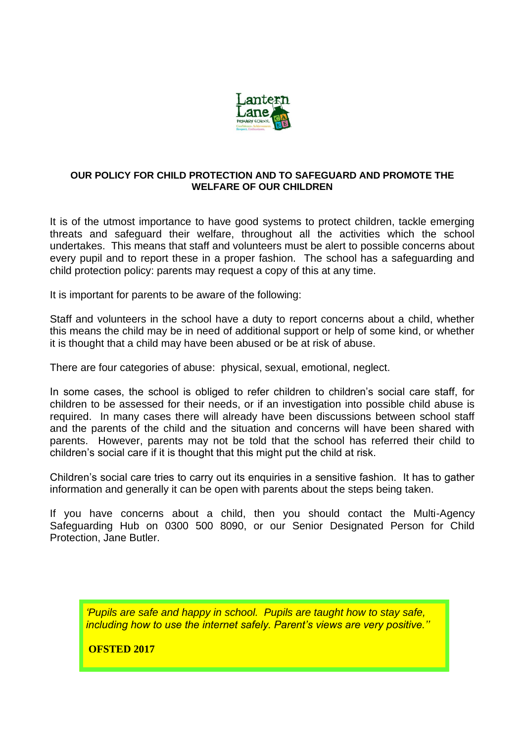

## **OUR POLICY FOR CHILD PROTECTION AND TO SAFEGUARD AND PROMOTE THE WELFARE OF OUR CHILDREN**

It is of the utmost importance to have good systems to protect children, tackle emerging threats and safeguard their welfare, throughout all the activities which the school undertakes. This means that staff and volunteers must be alert to possible concerns about every pupil and to report these in a proper fashion. The school has a safeguarding and child protection policy: parents may request a copy of this at any time.

It is important for parents to be aware of the following:

Staff and volunteers in the school have a duty to report concerns about a child, whether this means the child may be in need of additional support or help of some kind, or whether it is thought that a child may have been abused or be at risk of abuse.

There are four categories of abuse: physical, sexual, emotional, neglect.

In some cases, the school is obliged to refer children to children's social care staff, for children to be assessed for their needs, or if an investigation into possible child abuse is required. In many cases there will already have been discussions between school staff and the parents of the child and the situation and concerns will have been shared with parents. However, parents may not be told that the school has referred their child to children's social care if it is thought that this might put the child at risk.

Children's social care tries to carry out its enquiries in a sensitive fashion. It has to gather information and generally it can be open with parents about the steps being taken.

If you have concerns about a child, then you should contact the Multi-Agency Safeguarding Hub on 0300 500 8090, or our Senior Designated Person for Child Protection, Jane Butler.

*'Pupils are safe and happy in school. Pupils are taught how to stay safe, including how to use the internet safely. Parent's views are very positive.''*

**OFSTED 2017**